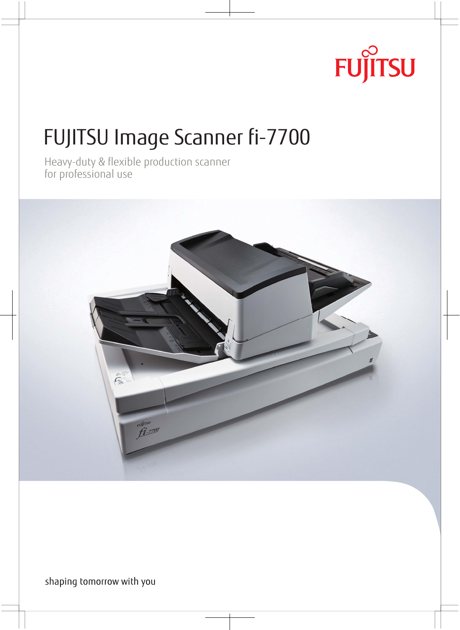# **FUJITSU**

Heavy-duty & flexible production scanner for professional use



shaping tomorrow with you